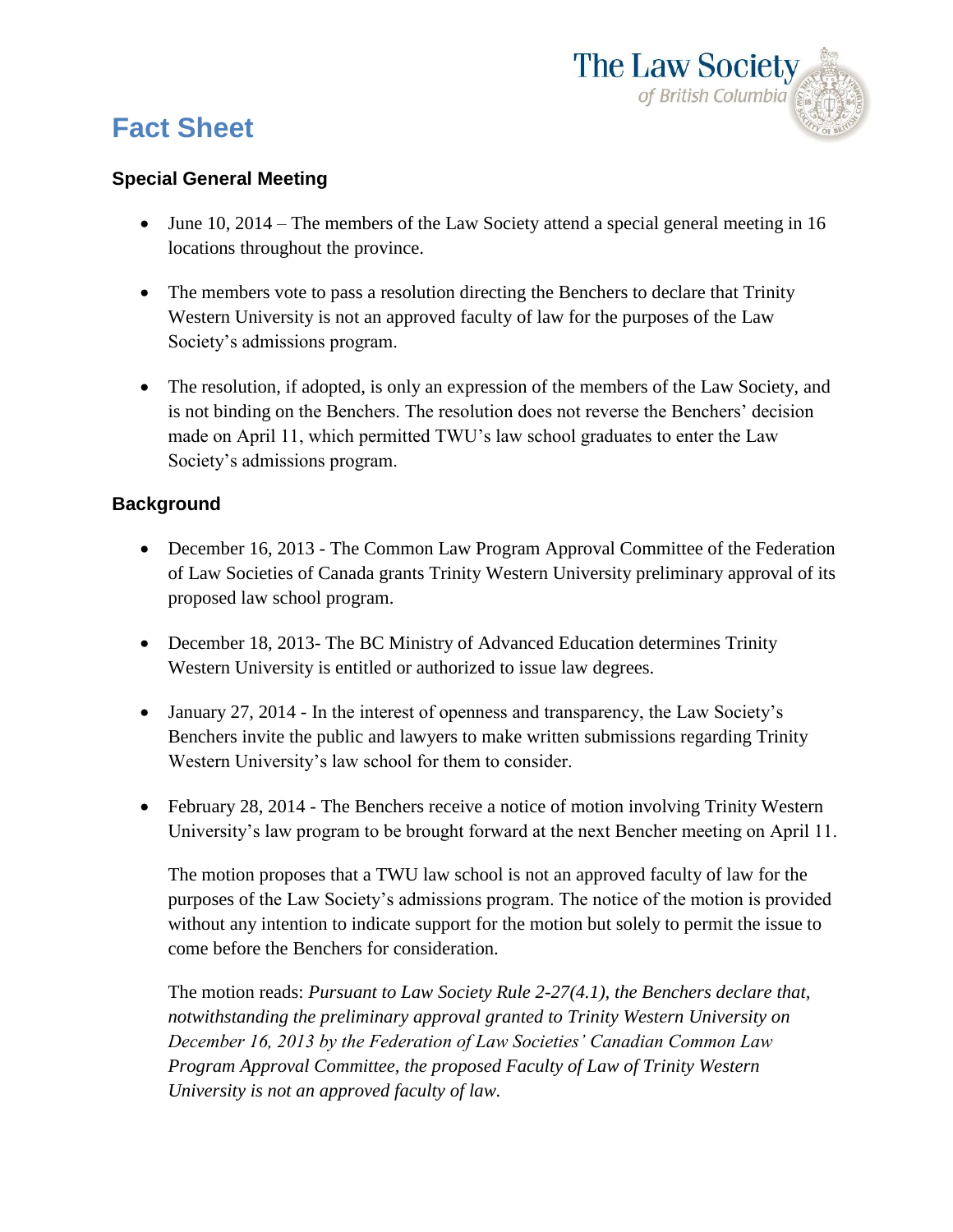

## **Fact Sheet**

## **Special General Meeting**

- June 10, 2014 The members of the Law Society attend a special general meeting in 16 locations throughout the province.
- The members vote to pass a resolution directing the Benchers to declare that Trinity Western University is not an approved faculty of law for the purposes of the Law Society's admissions program.
- The resolution, if adopted, is only an expression of the members of the Law Society, and is not binding on the Benchers. The resolution does not reverse the Benchers' decision made on April 11, which permitted TWU's law school graduates to enter the Law Society's admissions program.

## **Background**

- December 16, 2013 The Common Law Program Approval Committee of the Federation of Law Societies of Canada grants Trinity Western University preliminary approval of its proposed law school program.
- December 18, 2013- The BC Ministry of Advanced Education determines Trinity Western University is entitled or authorized to issue law degrees.
- January 27, 2014 In the interest of openness and transparency, the Law Society's Benchers invite the public and lawyers to make written submissions regarding Trinity Western University's law school for them to consider.
- February 28, 2014 The Benchers receive a notice of motion involving Trinity Western University's law program to be brought forward at the next Bencher meeting on April 11.

The motion proposes that a TWU law school is not an approved faculty of law for the purposes of the Law Society's admissions program. The notice of the motion is provided without any intention to indicate support for the motion but solely to permit the issue to come before the Benchers for consideration.

The motion reads: *Pursuant to Law Society Rule 2-27(4.1), the Benchers declare that, notwithstanding the preliminary approval granted to Trinity Western University on December 16, 2013 by the Federation of Law Societies' Canadian Common Law Program Approval Committee, the proposed Faculty of Law of Trinity Western University is not an approved faculty of law.*